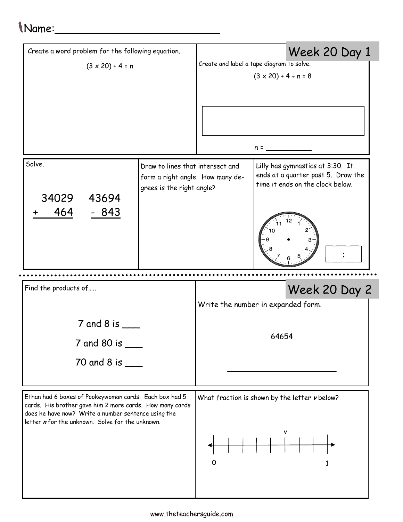## Name:\_\_\_\_\_\_\_\_\_\_\_\_\_\_\_\_\_\_\_\_\_\_\_\_\_

| Create a word problem for the following equation.       |                                                                                                   |                                                                             | Week 20 Day 1                                                                                              |  |  |  |
|---------------------------------------------------------|---------------------------------------------------------------------------------------------------|-----------------------------------------------------------------------------|------------------------------------------------------------------------------------------------------------|--|--|--|
| $(3 \times 20) + 4 = n$                                 |                                                                                                   | Create and label a tape diagram to solve.<br>$(3 \times 20) + 4 \div n = 8$ |                                                                                                            |  |  |  |
|                                                         |                                                                                                   |                                                                             | $n =$                                                                                                      |  |  |  |
| Solve.<br>34029<br>43694<br>464<br>$-843$               | Draw to lines that intersect and<br>form a right angle. How many de-<br>grees is the right angle? |                                                                             | Lilly has gymnastics at 3:30. It<br>ends at a quarter past 5. Draw the<br>time it ends on the clock below. |  |  |  |
|                                                         |                                                                                                   |                                                                             |                                                                                                            |  |  |  |
| Find the products of                                    |                                                                                                   | Week 20 Day 2                                                               |                                                                                                            |  |  |  |
|                                                         |                                                                                                   |                                                                             |                                                                                                            |  |  |  |
| $7$ and 8 is $\_$<br>7 and 80 is ___<br>70 and 8 is ___ |                                                                                                   |                                                                             | Write the number in expanded form.<br>64654                                                                |  |  |  |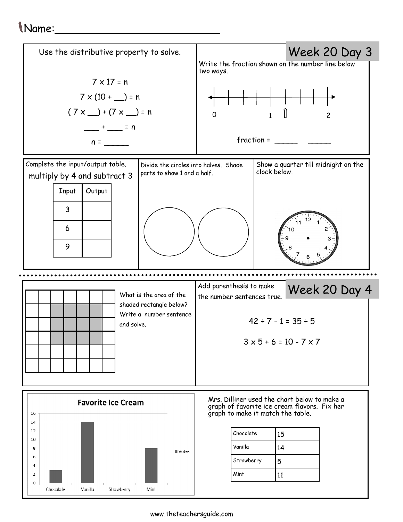## Name:\_\_\_\_\_\_\_\_\_\_\_\_\_\_\_\_\_\_\_\_\_\_\_\_\_